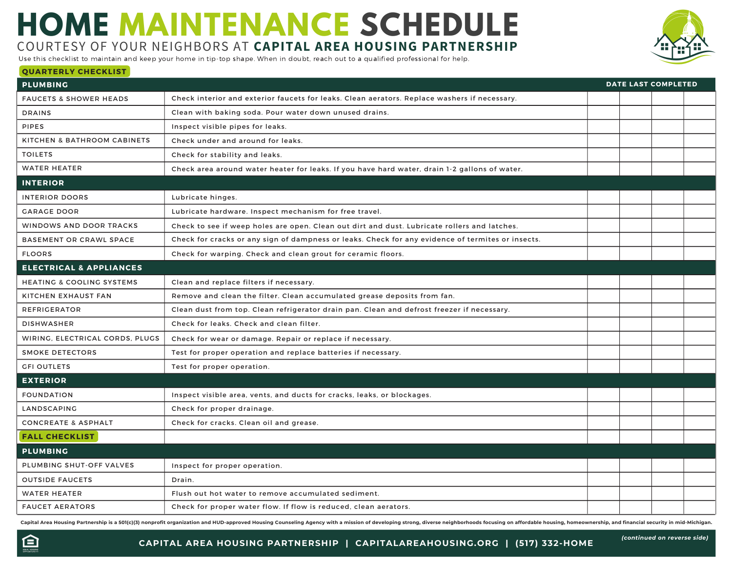## **HOME MAINTENANCE SCHEDULE** COURTESY OF YOUR NEIGHBORS AT **CAPITAL AREA HOUSING PARTNERSHIP**

Use this checklist to maintain and keep your home in tip-top shape. When in doubt, reach out to a qualified professional for help.

## **QUARTERLY CHECKLIST**

| <b>PLUMBING</b>                        |                                                                                                                                                                                                                                | <b>DATE LAST COMPLETED</b> |  |  |  |
|----------------------------------------|--------------------------------------------------------------------------------------------------------------------------------------------------------------------------------------------------------------------------------|----------------------------|--|--|--|
| <b>FAUCETS &amp; SHOWER HEADS</b>      | Check interior and exterior faucets for leaks. Clean aerators. Replace washers if necessary.                                                                                                                                   |                            |  |  |  |
| <b>DRAINS</b>                          | Clean with baking soda. Pour water down unused drains.                                                                                                                                                                         |                            |  |  |  |
| PIPES                                  | Inspect visible pipes for leaks.                                                                                                                                                                                               |                            |  |  |  |
| <b>KITCHEN &amp; BATHROOM CABINETS</b> | Check under and around for leaks.                                                                                                                                                                                              |                            |  |  |  |
| <b>TOILETS</b>                         | Check for stability and leaks.                                                                                                                                                                                                 |                            |  |  |  |
| <b>WATER HEATER</b>                    | Check area around water heater for leaks. If you have hard water, drain 1-2 gallons of water.                                                                                                                                  |                            |  |  |  |
| <b>INTERIOR</b>                        |                                                                                                                                                                                                                                |                            |  |  |  |
| <b>INTERIOR DOORS</b>                  | Lubricate hinges.                                                                                                                                                                                                              |                            |  |  |  |
| <b>GARAGE DOOR</b>                     | Lubricate hardware. Inspect mechanism for free travel.                                                                                                                                                                         |                            |  |  |  |
| <b>WINDOWS AND DOOR TRACKS</b>         | Check to see if weep holes are open. Clean out dirt and dust. Lubricate rollers and latches.                                                                                                                                   |                            |  |  |  |
| <b>BASEMENT OR CRAWL SPACE</b>         | Check for cracks or any sign of dampness or leaks. Check for any evidence of termites or insects.                                                                                                                              |                            |  |  |  |
| <b>FLOORS</b>                          | Check for warping. Check and clean grout for ceramic floors.                                                                                                                                                                   |                            |  |  |  |
| <b>ELECTRICAL &amp; APPLIANCES</b>     |                                                                                                                                                                                                                                |                            |  |  |  |
| <b>HEATING &amp; COOLING SYSTEMS</b>   | Clean and replace filters if necessary.                                                                                                                                                                                        |                            |  |  |  |
| KITCHEN EXHAUST FAN                    | Remove and clean the filter. Clean accumulated grease deposits from fan.                                                                                                                                                       |                            |  |  |  |
| <b>REFRIGERATOR</b>                    | Clean dust from top. Clean refrigerator drain pan. Clean and defrost freezer if necessary.                                                                                                                                     |                            |  |  |  |
| <b>DISHWASHER</b>                      | Check for leaks. Check and clean filter.                                                                                                                                                                                       |                            |  |  |  |
| WIRING, ELECTRICAL CORDS, PLUGS        | Check for wear or damage. Repair or replace if necessary.                                                                                                                                                                      |                            |  |  |  |
| <b>SMOKE DETECTORS</b>                 | Test for proper operation and replace batteries if necessary.                                                                                                                                                                  |                            |  |  |  |
| <b>GFI OUTLETS</b>                     | Test for proper operation.                                                                                                                                                                                                     |                            |  |  |  |
| <b>EXTERIOR</b>                        |                                                                                                                                                                                                                                |                            |  |  |  |
| <b>FOUNDATION</b>                      | Inspect visible area, vents, and ducts for cracks, leaks, or blockages.                                                                                                                                                        |                            |  |  |  |
| LANDSCAPING                            | Check for proper drainage.                                                                                                                                                                                                     |                            |  |  |  |
| <b>CONCREATE &amp; ASPHALT</b>         | Check for cracks. Clean oil and grease.                                                                                                                                                                                        |                            |  |  |  |
| <b>FALL CHECKLIST</b>                  |                                                                                                                                                                                                                                |                            |  |  |  |
| <b>PLUMBING</b>                        |                                                                                                                                                                                                                                |                            |  |  |  |
| PLUMBING SHUT-OFF VALVES               | Inspect for proper operation.                                                                                                                                                                                                  |                            |  |  |  |
| <b>OUTSIDE FAUCETS</b>                 | Drain.                                                                                                                                                                                                                         |                            |  |  |  |
| <b>WATER HEATER</b>                    | Flush out hot water to remove accumulated sediment.                                                                                                                                                                            |                            |  |  |  |
| <b>FAUCET AERATORS</b>                 | Check for proper water flow. If flow is reduced, clean aerators.                                                                                                                                                               |                            |  |  |  |
|                                        | Capital Area Housing Partnership is a 501(c)(3) nonprofit organization and HUD-approved Housing Counseling Agency with a mission of developing strong, diverse neighborhoods focusing on affordable housing, homeownership, an |                            |  |  |  |



**CAPITAL AREA HOUSING PARTNERSHIP | CAPITALAREAHOUSING.ORG | (517) 332-HOME**